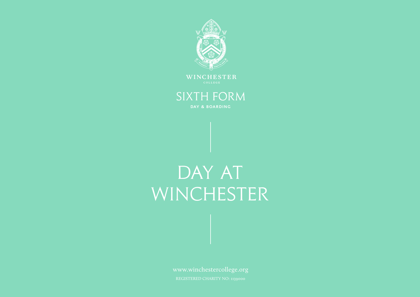

WINCHESTER

# SIXTH FORM

DAY & BOARDING

# DAY AT WINCHESTER

www.winchestercollege.org REGISTERED CHARITY NO: 1139000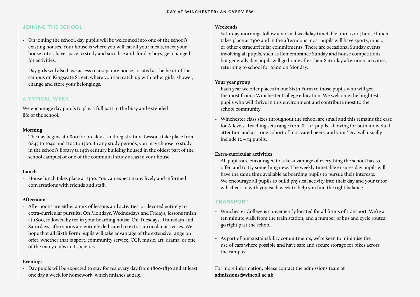#### JOINING THE SCHOOL

- On joining the school, day pupils will be welcomed into one of the school's existing houses. Your house is where you will eat all your meals, meet your house tutor, have space to study and socialise and, for day boys, get changed for activities.
- Day girls will also have access to a separate house, located at the heart of the campus on Kingsgate Street, where you can catch up with other girls, shower, change and store your belongings.

### A TYPICAL WEEK

We encourage day pupils to play a full part in the busy and extended life of the school.

#### **Morning**

- The day begins at 0800 for breakfast and registration. Lessons take place from 0845 to 1040 and 1105 to 1300. In any study periods, you may choose to study in the school's library (a 14th century building housed in the oldest part of the school campus) or one of the communal study areas in your house.

#### **Lunch**

- House lunch takes place at 1300. You can expect many lively and informed conversations with friends and staff.

#### **Afternoon**

- Afternoons are either a mix of lessons and activities, or devoted entirely to extra-curricular pursuits. On Mondays, Wednesdays and Fridays, lessons finish at 1800, followed by tea in your boarding house. On Tuesdays, Thursdays and Saturdays, afternoons are entirely dedicated to extra-curricular activities. We hope that all Sixth Form pupils will take advantage of the extensive range on offer, whether that is sport, community service, CCF, music, art, drama, or one of the many clubs and societies.

#### **Evenings**

- Day pupils will be expected to stay for tea every day from 1800-1830 and at least one day a week for homework, which finishes at 2115.

#### **Weekends**

- Saturday mornings follow a normal weekday timetable until 1300; house lunch takes place at 1300 and in the afternoons most pupils will have sports, music or other extracurricular commitments. There are occasional Sunday events involving all pupils, such as Remembrance Sunday and house competitions, but generally day pupils will go home after their Saturday afternoon activities, returning to school for 0800 on Monday.

#### **Your year group**

- Each year we offer places in our Sixth Form to those pupils who will get the most from a Winchester College education. We welcome the brightest pupils who will thrive in this environment and contribute most to the school community.
- Winchester class sizes throughout the school are small and this remains the case for A-levels. Teaching sets range from 8 – 14 pupils, allowing for both individual attention and a strong cohort of motivated peers, and your 'Div' will usually include 12 – 14 pupils.

#### **Extra-curricular activities**

- All pupils are encouraged to take advantage of everything the school has to offer, and to try something new. The weekly timetable ensures day pupils will have the same time available as boarding pupils to pursue their interests.
- We encourage all pupils to build physical activity into their day and your tutor will check in with you each week to help you find the right balance.

# TRANSPORT

- Winchester College is conveniently located for all forms of transport. We're a ten minute walk from the train station, and a number of bus and cycle routes go right past the school.
- As part of our sustainability commitments, we're keen to minimise the use of cars where possible and have safe and secure storage for bikes across the campus.

For more information, please contact the admissions team at **admissions@wincoll.ac.uk**